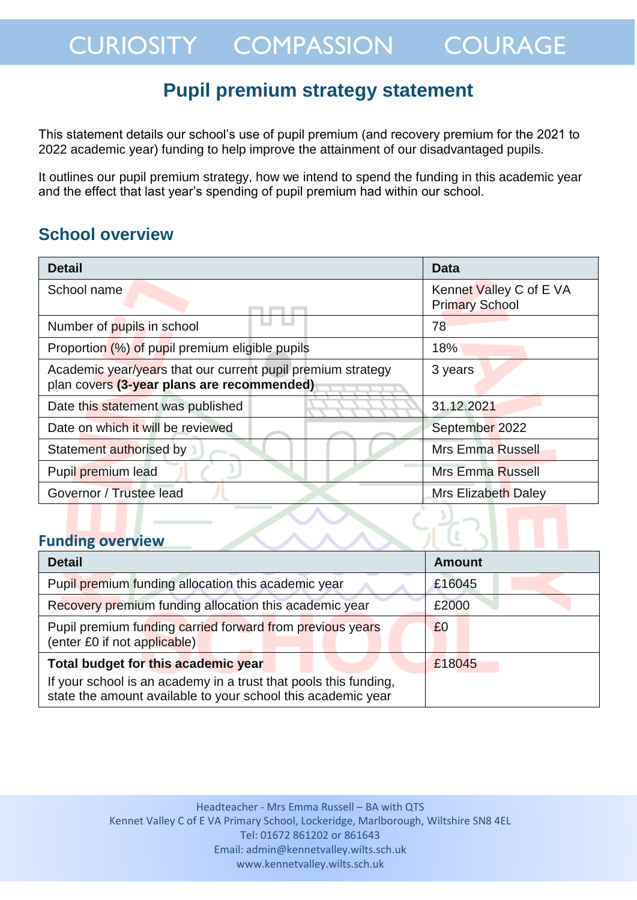## **Pupil premium strategy statement**

This statement details our school's use of pupil premium (and recovery premium for the 2021 to 2022 academic year) funding to help improve the attainment of our disadvantaged pupils.

It outlines our pupil premium strategy, how we intend to spend the funding in this academic year and the effect that last year's spending of pupil premium had within our school.

## **School overview**

| <b>Detail</b>                                                                                             | <b>Data</b>                                      |  |
|-----------------------------------------------------------------------------------------------------------|--------------------------------------------------|--|
| School name                                                                                               | Kennet Valley C of E VA<br><b>Primary School</b> |  |
| Number of pupils in school                                                                                | 78                                               |  |
| Proportion (%) of pupil premium eligible pupils                                                           | 18%                                              |  |
| Academic year/years that our current pupil premium strategy<br>plan covers (3-year plans are recommended) | 3 years                                          |  |
| Date this statement was published                                                                         | 31.12.2021                                       |  |
| Date on which it will be reviewed                                                                         | September 2022                                   |  |
| Statement authorised by                                                                                   | <b>Mrs Emma Russell</b>                          |  |
| Pupil premium lead                                                                                        | <b>Mrs Emma Russell</b>                          |  |
| Governor / Trustee lead                                                                                   | Mrs Elizabeth Daley                              |  |
| <b>Funding overview</b>                                                                                   |                                                  |  |

#### **Funding overview**

| <b>Detail</b>                                                                                                                    | Amount |
|----------------------------------------------------------------------------------------------------------------------------------|--------|
| Pupil premium funding allocation this academic year                                                                              | £16045 |
| Recovery premium funding allocation this academic year                                                                           | £2000  |
| Pupil premium funding carried forward from previous years<br>(enter £0 if not applicable)                                        | £0     |
| Total budget for this academic year                                                                                              | £18045 |
| If your school is an academy in a trust that pools this funding,<br>state the amount available to your school this academic year |        |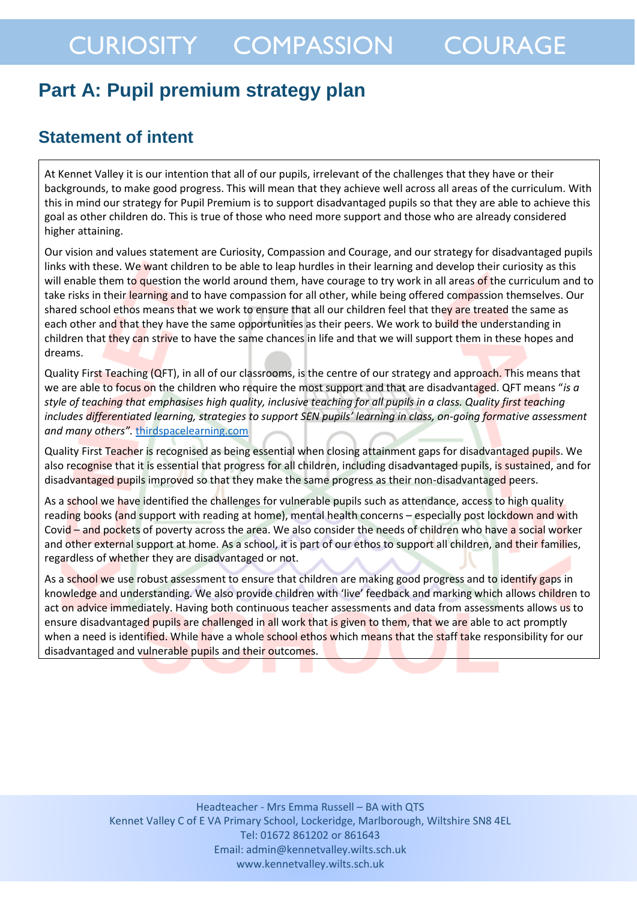## **Part A: Pupil premium strategy plan**

## **Statement of intent**

At Kennet Valley it is our intention that all of our pupils, irrelevant of the challenges that they have or their backgrounds, to make good progress. This will mean that they achieve well across all areas of the curriculum. With this in mind our strategy for Pupil Premium is to support disadvantaged pupils so that they are able to achieve this goal as other children do. This is true of those who need more support and those who are already considered higher attaining.

Our vision and values statement are Curiosity, Compassion and Courage, and our strategy for disadvantaged pupils links with these. We want children to be able to leap hurdles in their learning and develop their curiosity as this will enable them to question the world around them, have courage to try work in all areas of the curriculum and to take risks in their learning and to have compassion for all other, while being offered compassion themselves. Our shared school ethos means that we work to ensure that all our children feel that they are treated the same as each other and that they have the same opportunities as their peers. We work to build the understanding in children that they can strive to have the same chances in life and that we will support them in these hopes and dreams.

Quality First Teaching (QFT), in all of our classrooms, is the centre of our strategy and approach. This means that we are able to focus on the children who require the most support and that are disadvantaged. QFT means "*is a style of teaching that emphasises high quality, inclusive teaching for all pupils in a class. Quality first teaching includes differentiated learning, strategies to support SEN pupils' learning in class, on-going formative assessment and many others".* [thirdspacelearning.com](https://thirdspacelearning.com/blog/quality-first-teaching/)

Quality First Teacher is recognised as being essential when closing attainment gaps for disadvantaged pupils. We also recognise that it is essential that progress for all children, including disadvantaged pupils, is sustained, and for disadvantaged pupils improved so that they make the same progress as their non-disadvantaged peers.

As a school we have identified the challenges for vulnerable pupils such as attendance, access to high quality reading books (and support with reading at home), mental health concerns - especially post lockdown and with Covid – and pockets of poverty across the area. We also consider the needs of children who have a social worker and other external support at home. As a school, it is part of our ethos to support all children, and their families, regardless of whether they are disadvantaged or not.

As a school we use robust assessment to ensure that children are making good progress and to identify gaps in knowledge and understanding. We also provide children with 'live' feedback and marking which allows children to act on advice immediately. Having both continuous teacher assessments and data from assessments allows us to ensure disadvantaged pupils are challenged in all work that is given to them, that we are able to act promptly when a need is identified. While have a whole school ethos which means that the staff take responsibility for our disadvantaged and vulnerable pupils and their outcomes.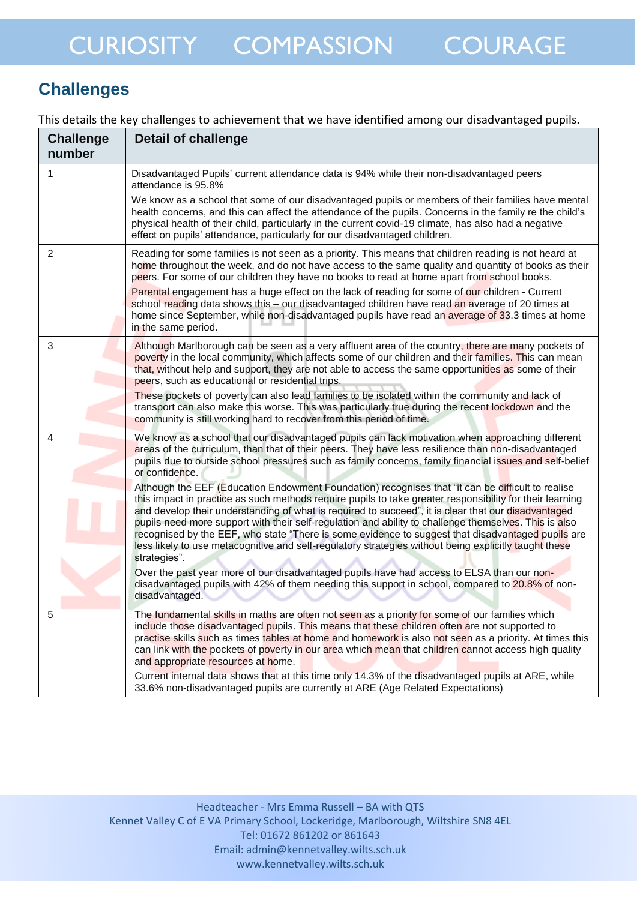## **Challenges**

This details the key challenges to achievement that we have identified among our disadvantaged pupils.

| <b>Challenge</b><br>number | <b>Detail of challenge</b>                                                                                                                                                                                                                                                                                                                                                                                                                                                                                                                                                                                                                                  |
|----------------------------|-------------------------------------------------------------------------------------------------------------------------------------------------------------------------------------------------------------------------------------------------------------------------------------------------------------------------------------------------------------------------------------------------------------------------------------------------------------------------------------------------------------------------------------------------------------------------------------------------------------------------------------------------------------|
| 1                          | Disadvantaged Pupils' current attendance data is 94% while their non-disadvantaged peers<br>attendance is 95.8%                                                                                                                                                                                                                                                                                                                                                                                                                                                                                                                                             |
|                            | We know as a school that some of our disadvantaged pupils or members of their families have mental<br>health concerns, and this can affect the attendance of the pupils. Concerns in the family re the child's<br>physical health of their child, particularly in the current covid-19 climate, has also had a negative<br>effect on pupils' attendance, particularly for our disadvantaged children.                                                                                                                                                                                                                                                       |
| $\overline{2}$             | Reading for some families is not seen as a priority. This means that children reading is not heard at<br>home throughout the week, and do not have access to the same quality and quantity of books as their<br>peers. For some of our children they have no books to read at home apart from school books.                                                                                                                                                                                                                                                                                                                                                 |
|                            | Parental engagement has a huge effect on the lack of reading for some of our children - Current<br>school reading data shows this - our disadvantaged children have read an average of 20 times at<br>home since September, while non-disadvantaged pupils have read an average of 33.3 times at home<br>in the same period.                                                                                                                                                                                                                                                                                                                                |
| 3                          | Although Marlborough can be seen as a very affluent area of the country, there are many pockets of<br>poverty in the local community, which affects some of our children and their families. This can mean<br>that, without help and support, they are not able to access the same opportunities as some of their<br>peers, such as educational or residential trips.                                                                                                                                                                                                                                                                                       |
|                            | These pockets of poverty can also lead families to be isolated within the community and lack of<br>transport can also make this worse. This was particularly true during the recent lockdown and the<br>community is still working hard to recover from this period of time.                                                                                                                                                                                                                                                                                                                                                                                |
| 4                          | We know as a school that our disadvantaged pupils can lack motivation when approaching different<br>areas of the curriculum, than that of their peers. They have less resilience than non-disadvantaged<br>pupils due to outside school pressures such as family concerns, family financial issues and self-belief<br>or confidence.                                                                                                                                                                                                                                                                                                                        |
|                            | Although the EEF (Education Endowment Foundation) recognises that "it can be difficult to realise<br>this impact in practice as such methods require pupils to take greater responsibility for their learning<br>and develop their understanding of what is required to succeed", it is clear that our disadvantaged<br>pupils need more support with their self-regulation and ability to challenge themselves. This is also<br>recognised by the EEF, who state "There is some evidence to suggest that disadvantaged pupils are<br>less likely to use metacognitive and self-regulatory strategies without being explicitly taught these<br>strategies". |
|                            | Over the past year more of our disadvantaged pupils have had access to ELSA than our non-<br>disadvantaged pupils with 42% of them needing this support in school, compared to 20.8% of non-<br>disadvantaged.                                                                                                                                                                                                                                                                                                                                                                                                                                              |
| 5                          | The fundamental skills in maths are often not seen as a priority for some of our families which<br>include those disadvantaged pupils. This means that these children often are not supported to<br>practise skills such as times tables at home and homework is also not seen as a priority. At times this<br>can link with the pockets of poverty in our area which mean that children cannot access high quality<br>and appropriate resources at home.                                                                                                                                                                                                   |
|                            | Current internal data shows that at this time only 14.3% of the disadvantaged pupils at ARE, while<br>33.6% non-disadvantaged pupils are currently at ARE (Age Related Expectations)                                                                                                                                                                                                                                                                                                                                                                                                                                                                        |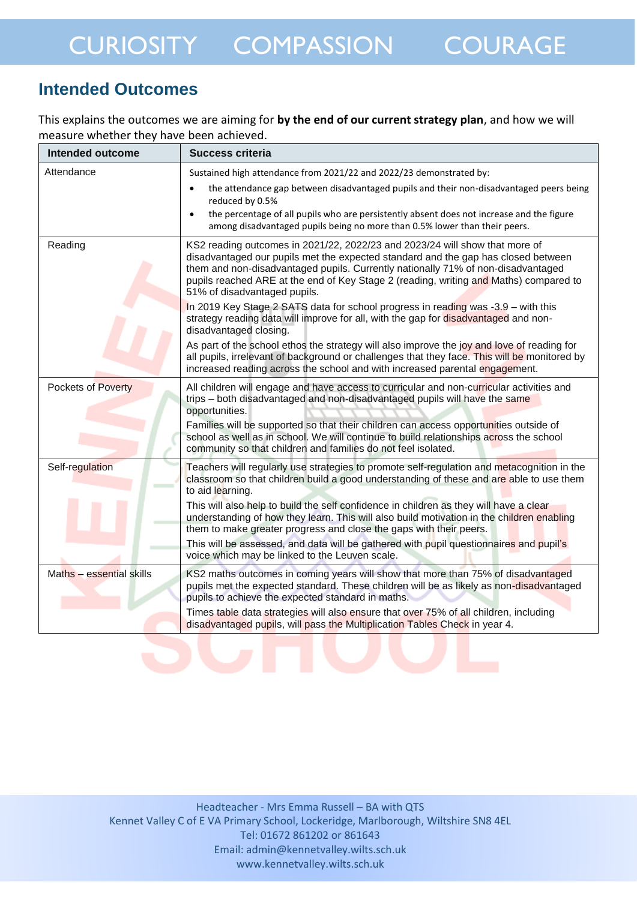## **Intended Outcomes**

This explains the outcomes we are aiming for **by the end of our current strategy plan**, and how we will measure whether they have been achieved.

| <b>Intended outcome</b>   | <b>Success criteria</b>                                                                                                                                                                                                                                                                                                                                                       |
|---------------------------|-------------------------------------------------------------------------------------------------------------------------------------------------------------------------------------------------------------------------------------------------------------------------------------------------------------------------------------------------------------------------------|
| Attendance                | Sustained high attendance from 2021/22 and 2022/23 demonstrated by:                                                                                                                                                                                                                                                                                                           |
|                           | the attendance gap between disadvantaged pupils and their non-disadvantaged peers being<br>$\bullet$<br>reduced by 0.5%                                                                                                                                                                                                                                                       |
|                           | the percentage of all pupils who are persistently absent does not increase and the figure<br>$\bullet$<br>among disadvantaged pupils being no more than 0.5% lower than their peers.                                                                                                                                                                                          |
| Reading                   | KS2 reading outcomes in 2021/22, 2022/23 and 2023/24 will show that more of<br>disadvantaged our pupils met the expected standard and the gap has closed between<br>them and non-disadvantaged pupils. Currently nationally 71% of non-disadvantaged<br>pupils reached ARE at the end of Key Stage 2 (reading, writing and Maths) compared to<br>51% of disadvantaged pupils. |
|                           | In 2019 Key Stage 2 SATS data for school progress in reading was -3.9 - with this<br>strategy reading data will improve for all, with the gap for disadvantaged and non-<br>disadvantaged closing.                                                                                                                                                                            |
|                           | As part of the school ethos the strategy will also improve the joy and love of reading for<br>all pupils, irrelevant of background or challenges that they face. This will be monitored by<br>increased reading across the school and with increased parental engagement.                                                                                                     |
| <b>Pockets of Poverty</b> | All children will engage and have access to curricular and non-curricular activities and<br>trips - both disadvantaged and non-disadvantaged pupils will have the same<br>opportunities.                                                                                                                                                                                      |
|                           | Families will be supported so that their children can access opportunities outside of<br>school as well as in school. We will continue to build relationships across the school<br>community so that children and families do not feel isolated.                                                                                                                              |
| Self-regulation           | Teachers will regularly use strategies to promote self-regulation and metacognition in the<br>classroom so that children build a good understanding of these and are able to use them<br>to aid learning.                                                                                                                                                                     |
|                           | This will also help to build the self confidence in children as they will have a clear<br>understanding of how they learn. This will also build motivation in the children enabling<br>them to make greater progress and close the gaps with their peers.                                                                                                                     |
|                           | This will be assessed, and data will be gathered with pupil questionnaires and pupil's<br>voice which may be linked to the Leuven scale.                                                                                                                                                                                                                                      |
| Maths - essential skills  | KS2 maths outcomes in coming years will show that more than 75% of disadvantaged<br>pupils met the expected standard. These children will be as likely as non-disadvantaged<br>pupils to achieve the expected standard in maths.                                                                                                                                              |
|                           | Times table data strategies will also ensure that over 75% of all children, including<br>disadvantaged pupils, will pass the Multiplication Tables Check in year 4.                                                                                                                                                                                                           |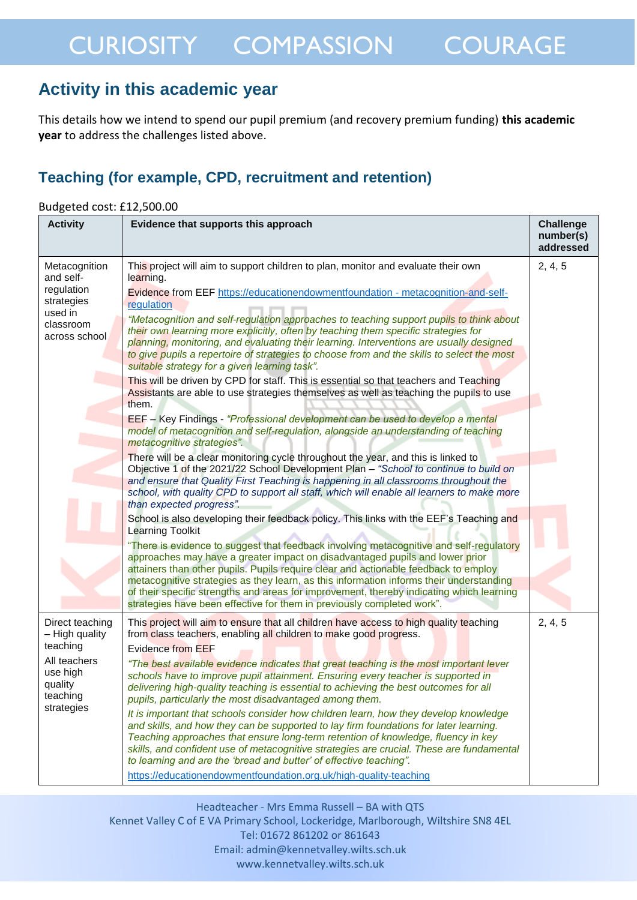## **Activity in this academic year**

This details how we intend to spend our pupil premium (and recovery premium funding) **this academic year** to address the challenges listed above.

### **Teaching (for example, CPD, recruitment and retention)**

| Budgeted cost: £12,500.00                                                                                      |                                                                                                                                                                                                                                                                                                                                                                                                                                                                                                                                                                                                                                                                                                                                                                                                                                                                                                                                                                                                                                                                                                                                                                                                                                                                                                                                                                                                                                                                                                                                                                                                                                                                                                                                                                                                                                                                                                                                                                                                                                                                                       |                                            |  |
|----------------------------------------------------------------------------------------------------------------|---------------------------------------------------------------------------------------------------------------------------------------------------------------------------------------------------------------------------------------------------------------------------------------------------------------------------------------------------------------------------------------------------------------------------------------------------------------------------------------------------------------------------------------------------------------------------------------------------------------------------------------------------------------------------------------------------------------------------------------------------------------------------------------------------------------------------------------------------------------------------------------------------------------------------------------------------------------------------------------------------------------------------------------------------------------------------------------------------------------------------------------------------------------------------------------------------------------------------------------------------------------------------------------------------------------------------------------------------------------------------------------------------------------------------------------------------------------------------------------------------------------------------------------------------------------------------------------------------------------------------------------------------------------------------------------------------------------------------------------------------------------------------------------------------------------------------------------------------------------------------------------------------------------------------------------------------------------------------------------------------------------------------------------------------------------------------------------|--------------------------------------------|--|
| <b>Activity</b>                                                                                                | Evidence that supports this approach                                                                                                                                                                                                                                                                                                                                                                                                                                                                                                                                                                                                                                                                                                                                                                                                                                                                                                                                                                                                                                                                                                                                                                                                                                                                                                                                                                                                                                                                                                                                                                                                                                                                                                                                                                                                                                                                                                                                                                                                                                                  | <b>Challenge</b><br>number(s)<br>addressed |  |
| Metacognition<br>and self-<br>regulation<br>strategies<br>used in<br>classroom<br>across school                | This project will aim to support children to plan, monitor and evaluate their own<br>learning.<br>Evidence from EEF https://educationendowmentfoundation - metacognition-and-self-<br>regulation<br>"Metacognition and self-regulation approaches to teaching support pupils to think about<br>their own learning more explicitly, often by teaching them specific strategies for<br>planning, monitoring, and evaluating their learning. Interventions are usually designed<br>to give pupils a repertoire of strategies to choose from and the skills to select the most<br>suitable strategy for a given learning task".<br>This will be driven by CPD for staff. This is essential so that teachers and Teaching<br>Assistants are able to use strategies themselves as well as teaching the pupils to use<br>them.<br>EEF - Key Findings - "Professional development can be used to develop a mental<br>model of metacognition and self-regulation, alongside an understanding of teaching<br>metacognitive strategies".<br>There will be a clear monitoring cycle throughout the year, and this is linked to<br>Objective 1 of the 2021/22 School Development Plan - "School to continue to build on<br>and ensure that Quality First Teaching is happening in all classrooms throughout the<br>school, with quality CPD to support all staff, which will enable all learners to make more<br>than expected progress".<br>School is also developing their feedback policy. This links with the EEF's Teaching and<br><b>Learning Toolkit</b><br>"There is evidence to suggest that feedback involving metacognitive and self-regulatory<br>approaches may have a greater impact on disadvantaged pupils and lower prior<br>attainers than other pupils. Pupils require clear and actionable feedback to employ<br>metacognitive strategies as they learn, as this information informs their understanding<br>of their specific strengths and areas for improvement, thereby indicating which learning<br>strategies have been effective for them in previously completed work". | 2, 4, 5                                    |  |
| Direct teaching<br>- High quality<br>teaching<br>All teachers<br>use high<br>quality<br>teaching<br>strategies | This project will aim to ensure that all children have access to high quality teaching<br>from class teachers, enabling all children to make good progress.<br><b>Evidence from EEF</b><br>"The best available evidence indicates that great teaching is the most important lever<br>schools have to improve pupil attainment. Ensuring every teacher is supported in<br>delivering high-quality teaching is essential to achieving the best outcomes for all<br>pupils, particularly the most disadvantaged among them.<br>It is important that schools consider how children learn, how they develop knowledge<br>and skills, and how they can be supported to lay firm foundations for later learning.<br>Teaching approaches that ensure long-term retention of knowledge, fluency in key<br>skills, and confident use of metacognitive strategies are crucial. These are fundamental<br>to learning and are the 'bread and butter' of effective teaching".<br>https://educationendowmentfoundation.org.uk/high-quality-teaching                                                                                                                                                                                                                                                                                                                                                                                                                                                                                                                                                                                                                                                                                                                                                                                                                                                                                                                                                                                                                                                  | 2, 4, 5                                    |  |

Headteacher - Mrs Emma Russell – BA with QTS

Kennet Valley C of E VA Primary School, Lockeridge, Marlborough, Wiltshire SN8 4EL Tel: 01672 861202 or 861643 Email: admin@kennetvalley.wilts.sch.uk www.kennetvalley.wilts.sch.uk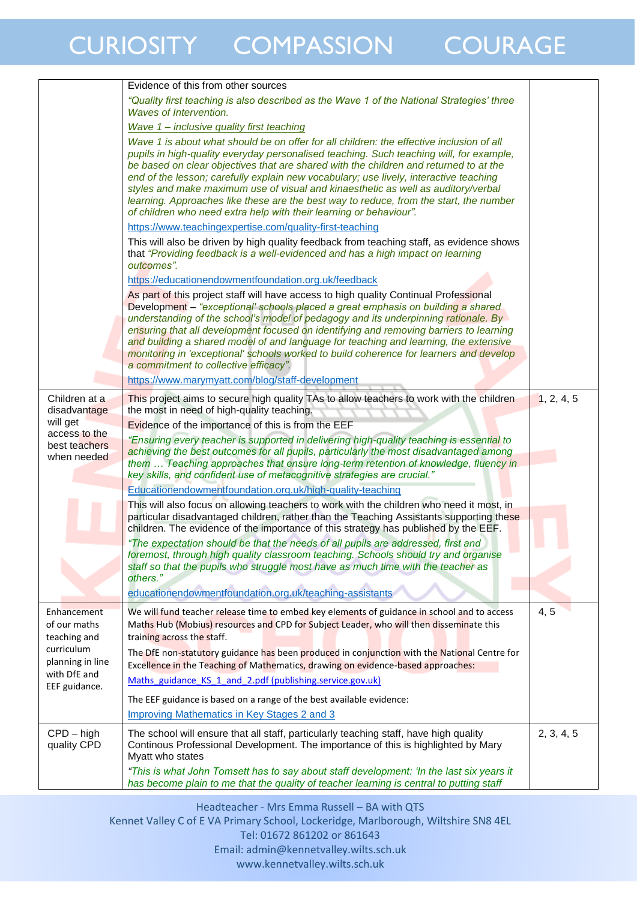|                                             | Evidence of this from other sources                                                                                                                                                                                                                                                                                                                                                                                                                                                                                                                                                  |            |
|---------------------------------------------|--------------------------------------------------------------------------------------------------------------------------------------------------------------------------------------------------------------------------------------------------------------------------------------------------------------------------------------------------------------------------------------------------------------------------------------------------------------------------------------------------------------------------------------------------------------------------------------|------------|
|                                             | "Quality first teaching is also described as the Wave 1 of the National Strategies' three<br>Waves of Intervention.                                                                                                                                                                                                                                                                                                                                                                                                                                                                  |            |
|                                             | Wave 1 - inclusive quality first teaching                                                                                                                                                                                                                                                                                                                                                                                                                                                                                                                                            |            |
|                                             | Wave 1 is about what should be on offer for all children: the effective inclusion of all<br>pupils in high-quality everyday personalised teaching. Such teaching will, for example,<br>be based on clear objectives that are shared with the children and returned to at the<br>end of the lesson; carefully explain new vocabulary; use lively, interactive teaching                                                                                                                                                                                                                |            |
|                                             | styles and make maximum use of visual and kinaesthetic as well as auditory/verbal<br>learning. Approaches like these are the best way to reduce, from the start, the number<br>of children who need extra help with their learning or behaviour".                                                                                                                                                                                                                                                                                                                                    |            |
|                                             | https://www.teachingexpertise.com/quality-first-teaching                                                                                                                                                                                                                                                                                                                                                                                                                                                                                                                             |            |
|                                             | This will also be driven by high quality feedback from teaching staff, as evidence shows<br>that "Providing feedback is a well-evidenced and has a high impact on learning<br>outcomes".                                                                                                                                                                                                                                                                                                                                                                                             |            |
|                                             | https://educationendowmentfoundation.org.uk/feedback                                                                                                                                                                                                                                                                                                                                                                                                                                                                                                                                 |            |
|                                             | As part of this project staff will have access to high quality Continual Professional<br>Development – "exceptional' schools placed a great emphasis on building a shared<br>understanding of the school's model of pedagogy and its underpinning rationale. By<br>ensuring that all development focused on identifying and removing barriers to learning<br>and building a shared model of and language for teaching and learning, the extensive<br>monitoring in 'exceptional' schools worked to build coherence for learners and develop<br>a commitment to collective efficacy". |            |
|                                             | https://www.marymyatt.com/blog/staff-development                                                                                                                                                                                                                                                                                                                                                                                                                                                                                                                                     |            |
| Children at a                               | This project aims to secure high quality TAs to allow teachers to work with the children                                                                                                                                                                                                                                                                                                                                                                                                                                                                                             | 1, 2, 4, 5 |
| disadvantage<br>will get                    | the most in need of high-quality teaching.                                                                                                                                                                                                                                                                                                                                                                                                                                                                                                                                           |            |
| access to the                               | Evidence of the importance of this is from the EEF<br>"Ensuring every teacher is supported in delivering high-quality teaching is essential to                                                                                                                                                                                                                                                                                                                                                                                                                                       |            |
| best teachers                               | achieving the best outcomes for all pupils, particularly the most disadvantaged among                                                                                                                                                                                                                                                                                                                                                                                                                                                                                                |            |
| when needed                                 | them  Teaching approaches that ensure long-term retention of knowledge, fluency in                                                                                                                                                                                                                                                                                                                                                                                                                                                                                                   |            |
|                                             | key skills, and confident use of metacognitive strategies are crucial."                                                                                                                                                                                                                                                                                                                                                                                                                                                                                                              |            |
|                                             | Educationendowmentfoundation.org.uk/high-quality-teaching                                                                                                                                                                                                                                                                                                                                                                                                                                                                                                                            |            |
|                                             | This will also focus on allowing teachers to work with the children who need it most, in<br>particular disadvantaged children, rather than the Teaching Assistants supporting these<br>children. The evidence of the importance of this strategy has published by the EEF.                                                                                                                                                                                                                                                                                                           |            |
|                                             | "The expectation should be that the needs of all pupils are addressed, first and                                                                                                                                                                                                                                                                                                                                                                                                                                                                                                     |            |
|                                             | foremost, through high quality classroom teaching. Schools should try and organise<br>staff so that the pupils who struggle most have as much time with the teacher as                                                                                                                                                                                                                                                                                                                                                                                                               |            |
|                                             | others."                                                                                                                                                                                                                                                                                                                                                                                                                                                                                                                                                                             |            |
|                                             | educationendowmentfoundation.org.uk/teaching-assistants                                                                                                                                                                                                                                                                                                                                                                                                                                                                                                                              |            |
| Enhancement<br>of our maths<br>teaching and | We will fund teacher release time to embed key elements of guidance in school and to access<br>Maths Hub (Mobius) resources and CPD for Subject Leader, who will then disseminate this<br>training across the staff.                                                                                                                                                                                                                                                                                                                                                                 | 4, 5       |
| curriculum<br>planning in line              | The DfE non-statutory guidance has been produced in conjunction with the National Centre for<br>Excellence in the Teaching of Mathematics, drawing on evidence-based approaches:                                                                                                                                                                                                                                                                                                                                                                                                     |            |
| with DfE and<br>EEF guidance.               | Maths guidance KS 1 and 2.pdf (publishing.service.gov.uk)                                                                                                                                                                                                                                                                                                                                                                                                                                                                                                                            |            |
|                                             | The EEF guidance is based on a range of the best available evidence:                                                                                                                                                                                                                                                                                                                                                                                                                                                                                                                 |            |
|                                             | Improving Mathematics in Key Stages 2 and 3                                                                                                                                                                                                                                                                                                                                                                                                                                                                                                                                          |            |
| $CPD - high$<br>quality CPD                 | The school will ensure that all staff, particularly teaching staff, have high quality<br>Continous Professional Development. The importance of this is highlighted by Mary<br>Myatt who states                                                                                                                                                                                                                                                                                                                                                                                       | 2, 3, 4, 5 |
|                                             | "This is what John Tomsett has to say about staff development: 'In the last six years it<br>has become plain to me that the quality of teacher learning is central to putting staff                                                                                                                                                                                                                                                                                                                                                                                                  |            |

Headteacher - Mrs Emma Russell – BA with QTS

Kennet Valley C of E VA Primary School, Lockeridge, Marlborough, Wiltshire SN8 4EL Tel: 01672 861202 or 861643 Email: admin@kennetvalley.wilts.sch.uk www.kennetvalley.wilts.sch.uk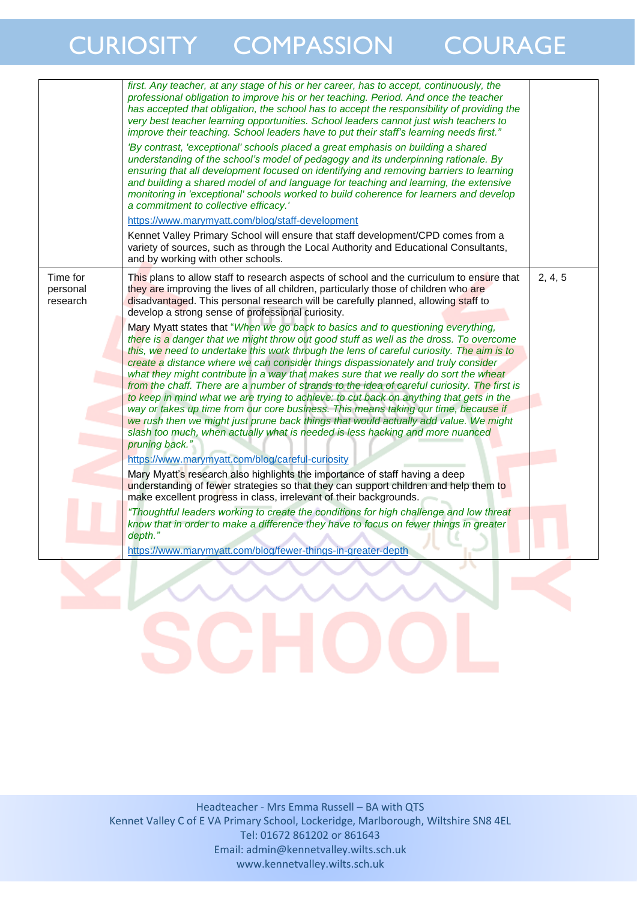|                                  | first. Any teacher, at any stage of his or her career, has to accept, continuously, the<br>professional obligation to improve his or her teaching. Period. And once the teacher<br>has accepted that obligation, the school has to accept the responsibility of providing the<br>very best teacher learning opportunities. School leaders cannot just wish teachers to<br>improve their teaching. School leaders have to put their staff's learning needs first."<br>'By contrast, 'exceptional' schools placed a great emphasis on building a shared<br>understanding of the school's model of pedagogy and its underpinning rationale. By<br>ensuring that all development focused on identifying and removing barriers to learning<br>and building a shared model of and language for teaching and learning, the extensive<br>monitoring in 'exceptional' schools worked to build coherence for learners and develop<br>a commitment to collective efficacy.'<br>https://www.marymyatt.com/blog/staff-development<br>Kennet Valley Primary School will ensure that staff development/CPD comes from a<br>variety of sources, such as through the Local Authority and Educational Consultants,<br>and by working with other schools.                                                                                                                                                                                                                                                                                                                                                                                                                                                                                                                                                                                           |         |
|----------------------------------|----------------------------------------------------------------------------------------------------------------------------------------------------------------------------------------------------------------------------------------------------------------------------------------------------------------------------------------------------------------------------------------------------------------------------------------------------------------------------------------------------------------------------------------------------------------------------------------------------------------------------------------------------------------------------------------------------------------------------------------------------------------------------------------------------------------------------------------------------------------------------------------------------------------------------------------------------------------------------------------------------------------------------------------------------------------------------------------------------------------------------------------------------------------------------------------------------------------------------------------------------------------------------------------------------------------------------------------------------------------------------------------------------------------------------------------------------------------------------------------------------------------------------------------------------------------------------------------------------------------------------------------------------------------------------------------------------------------------------------------------------------------------------------------------------------------------------------|---------|
| Time for<br>personal<br>research | This plans to allow staff to research aspects of school and the curriculum to ensure that<br>they are improving the lives of all children, particularly those of children who are<br>disadvantaged. This personal research will be carefully planned, allowing staff to<br>develop a strong sense of professional curiosity.<br>Mary Myatt states that "When we go back to basics and to questioning everything,<br>there is a danger that we might throw out good stuff as well as the dross. To overcome<br>this, we need to undertake this work through the lens of careful curiosity. The aim is to<br>create a distance where we can consider things dispassionately and truly consider<br>what they might contribute in a way that makes sure that we really do sort the wheat<br>from the chaff. There are a number of strands to the idea of careful curiosity. The first is<br>to keep in mind what we are trying to achieve: to cut back on anything that gets in the<br>way or takes up time from our core business. This means taking our time, because if<br>we rush then we might just prune back things that would actually add value. We might<br>slash too much, when actually what is needed is less hacking and more nuanced<br>pruning back."<br>https://www.marymyatt.com/blog/careful-curiosity<br>Mary Myatt's research also highlights the importance of staff having a deep<br>understanding of fewer strategies so that they can support children and help them to<br>make excellent progress in class, irrelevant of their backgrounds.<br>"Thoughtful leaders working to create the conditions for high challenge and low threat<br>know that in order to make a difference they have to focus on fewer things in greater<br>depth."<br>https://www.marymyatt.com/blog/fewer-things-in-greater-depth | 2, 4, 5 |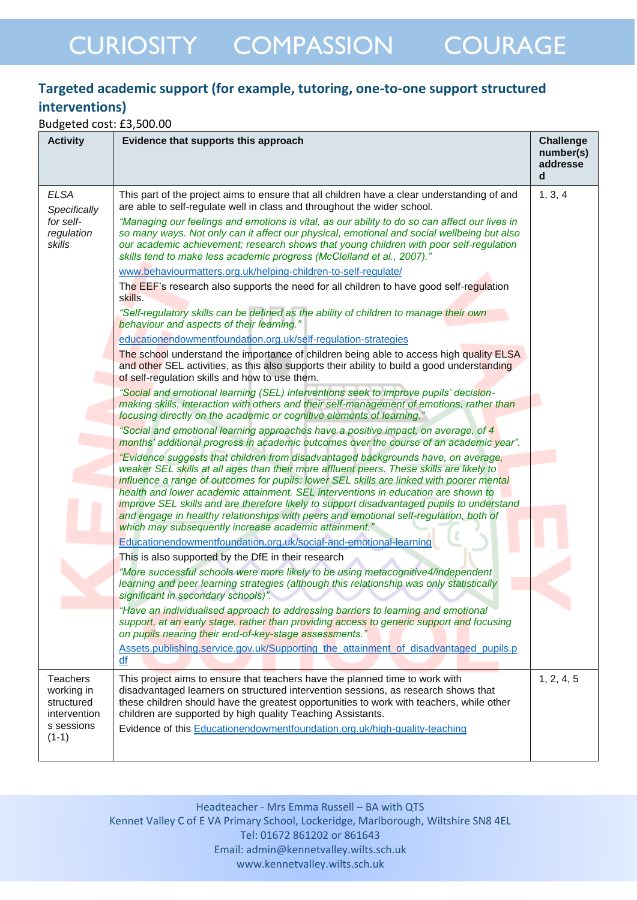### **Targeted academic support (for example, tutoring, one-to-one support structured interventions)**

Budgeted cost: £3,500.00

| <b>Activity</b>                                                                      | Evidence that supports this approach                                                                                                                                                                                                                                                                                                                                                                                                                                                                                                                                                                          | <b>Challenge</b><br>number(s)<br>addresse<br>d |
|--------------------------------------------------------------------------------------|---------------------------------------------------------------------------------------------------------------------------------------------------------------------------------------------------------------------------------------------------------------------------------------------------------------------------------------------------------------------------------------------------------------------------------------------------------------------------------------------------------------------------------------------------------------------------------------------------------------|------------------------------------------------|
| <b>ELSA</b><br>Specifically                                                          | This part of the project aims to ensure that all children have a clear understanding of and<br>are able to self-regulate well in class and throughout the wider school.                                                                                                                                                                                                                                                                                                                                                                                                                                       | 1, 3, 4                                        |
| for self-<br>regulation<br>skills                                                    | "Managing our feelings and emotions is vital, as our ability to do so can affect our lives in<br>so many ways. Not only can it affect our physical, emotional and social wellbeing but also<br>our academic achievement; research shows that young children with poor self-regulation<br>skills tend to make less academic progress (McClelland et al., 2007)."                                                                                                                                                                                                                                               |                                                |
|                                                                                      | www.behaviourmatters.org.uk/helping-children-to-self-regulate/                                                                                                                                                                                                                                                                                                                                                                                                                                                                                                                                                |                                                |
|                                                                                      | The EEF's research also supports the need for all children to have good self-regulation<br>skills.                                                                                                                                                                                                                                                                                                                                                                                                                                                                                                            |                                                |
|                                                                                      | "Self-regulatory skills can be defined as the ability of children to manage their own<br>behaviour and aspects of their learning."                                                                                                                                                                                                                                                                                                                                                                                                                                                                            |                                                |
|                                                                                      | educationendowmentfoundation.org.uk/self-regulation-strategies                                                                                                                                                                                                                                                                                                                                                                                                                                                                                                                                                |                                                |
|                                                                                      | The school understand the importance of children being able to access high quality ELSA<br>and other SEL activities, as this also supports their ability to build a good understanding<br>of self-regulation skills and how to use them.                                                                                                                                                                                                                                                                                                                                                                      |                                                |
|                                                                                      | "Social and emotional learning (SEL) interventions seek to improve pupils' decision-<br>making skills, interaction with others and their self-management of emotions, rather than<br>focusing directly on the academic or cognitive elements of learning."                                                                                                                                                                                                                                                                                                                                                    |                                                |
|                                                                                      | "Social and emotional learning approaches have a positive impact, on average, of 4<br>months' additional progress in academic outcomes over the course of an academic year".                                                                                                                                                                                                                                                                                                                                                                                                                                  |                                                |
|                                                                                      | "Evidence suggests that children from disadvantaged backgrounds have, on average,<br>weaker SEL skills at all ages than their more affluent peers. These skills are likely to<br>influence a range of outcomes for pupils: lower SEL skills are linked with poorer mental<br>health and lower academic attainment. SEL interventions in education are shown to<br>improve SEL skills and are therefore likely to support disadvantaged pupils to understand<br>and engage in healthy relationships with peers and emotional self-regulation, both of<br>which may subsequently increase academic attainment." |                                                |
|                                                                                      | Educationendowmentfoundation.org.uk/social-and-emotional-learning                                                                                                                                                                                                                                                                                                                                                                                                                                                                                                                                             |                                                |
|                                                                                      | This is also supported by the DfE in their research                                                                                                                                                                                                                                                                                                                                                                                                                                                                                                                                                           |                                                |
|                                                                                      | "More successful schools were more likely to be using metacognitive4/independent<br>learning and peer learning strategies (although this relationship was only statistically<br>significant in secondary schools)".                                                                                                                                                                                                                                                                                                                                                                                           |                                                |
|                                                                                      | "Have an individualised approach to addressing barriers to learning and emotional<br>support, at an early stage, rather than providing access to generic support and focusing<br>on pupils nearing their end-of-key-stage assessments."                                                                                                                                                                                                                                                                                                                                                                       |                                                |
|                                                                                      | Assets.publishing.service.gov.uk/Supporting_the_attainment_of_disadvantaged_pupils.p<br>df                                                                                                                                                                                                                                                                                                                                                                                                                                                                                                                    |                                                |
| <b>Teachers</b><br>working in<br>structured<br>intervention<br>s sessions<br>$(1-1)$ | This project aims to ensure that teachers have the planned time to work with<br>disadvantaged learners on structured intervention sessions, as research shows that<br>these children should have the greatest opportunities to work with teachers, while other<br>children are supported by high quality Teaching Assistants.<br>Evidence of this Educationendowmentfoundation.org.uk/high-quality-teaching                                                                                                                                                                                                   | 1, 2, 4, 5                                     |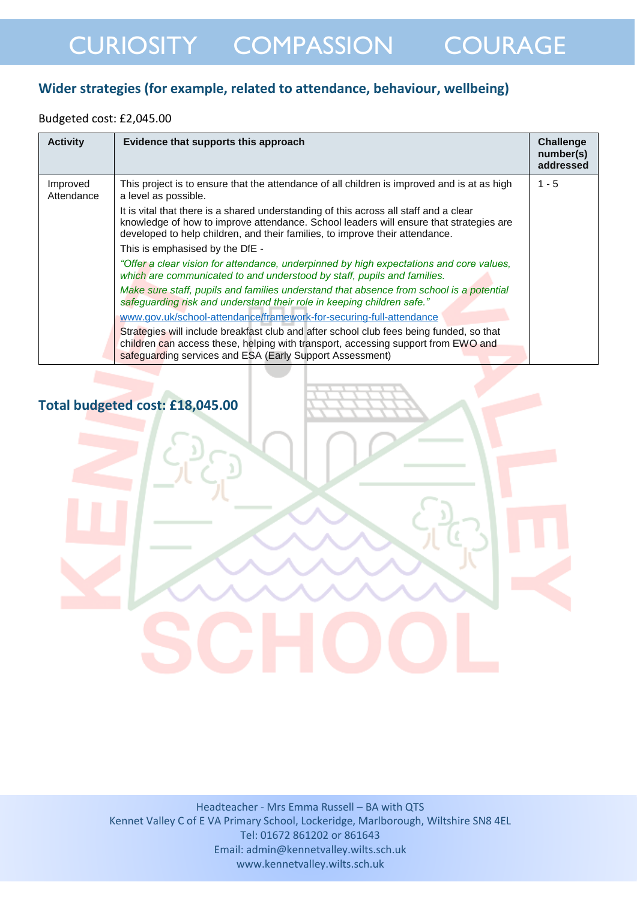### **Wider strategies (for example, related to attendance, behaviour, wellbeing)**

#### Budgeted cost: £2,045.00

| <b>Activity</b>        | Evidence that supports this approach                                                                                                                                                                                                                            | Challenge<br>number(s)<br>addressed |
|------------------------|-----------------------------------------------------------------------------------------------------------------------------------------------------------------------------------------------------------------------------------------------------------------|-------------------------------------|
| Improved<br>Attendance | This project is to ensure that the attendance of all children is improved and is at as high<br>a level as possible.                                                                                                                                             | $1 - 5$                             |
|                        | It is vital that there is a shared understanding of this across all staff and a clear<br>knowledge of how to improve attendance. School leaders will ensure that strategies are<br>developed to help children, and their families, to improve their attendance. |                                     |
|                        | This is emphasised by the DfE -                                                                                                                                                                                                                                 |                                     |
|                        | "Offer a clear vision for attendance, underpinned by high expectations and core values,<br>which are communicated to and understood by staff, pupils and families.                                                                                              |                                     |
|                        | Make sure staff, pupils and families understand that absence from school is a potential<br>safeguarding risk and understand their role in keeping children safe."                                                                                               |                                     |
|                        | www.gov.uk/school-attendance/framework-for-securing-full-attendance                                                                                                                                                                                             |                                     |
|                        | Strategies will include breakfast club and after school club fees being funded, so that<br>children can access these, helping with transport, accessing support from EWO and<br>safeguarding services and ESA (Early Support Assessment)                        |                                     |

### **Total budgeted cost: £18,045.00**

#### Headteacher - Mrs Emma Russell – BA with QTS Kennet Valley C of E VA Primary School, Lockeridge, Marlborough, Wiltshire SN8 4EL Tel: 01672 861202 or 861643 Email: admin@kennetvalley.wilts.sch.uk www.kennetvalley.wilts.sch.uk